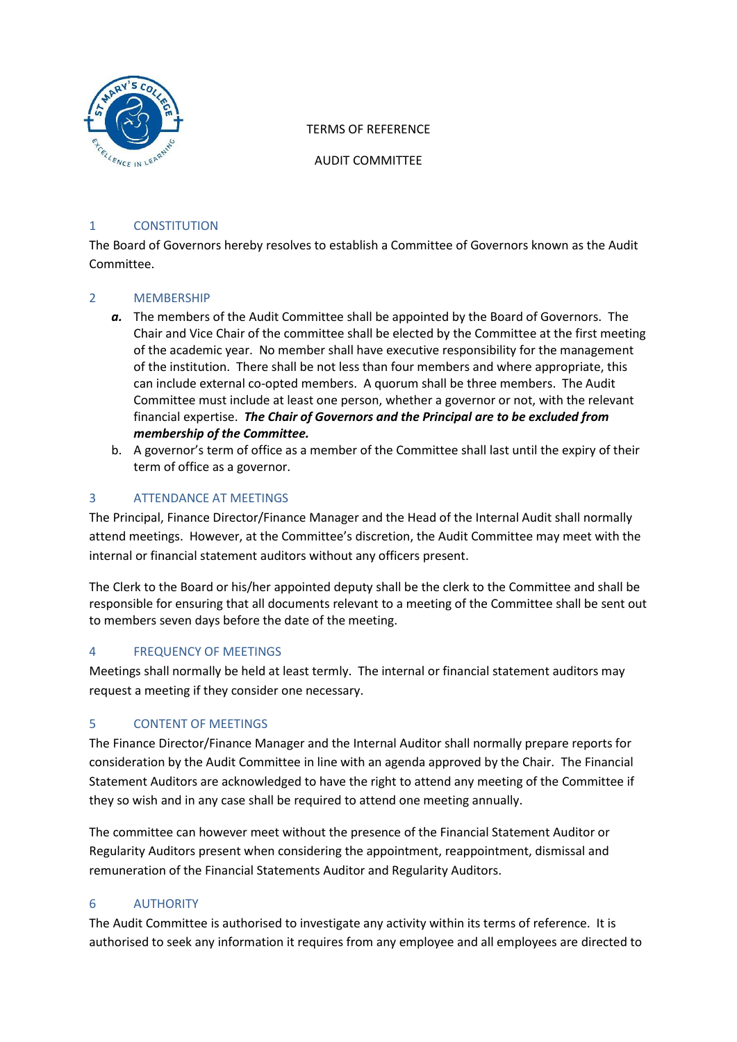

## TERMS OF REFERENCE

AUDIT COMMITTEE

## 1 CONSTITUTION

The Board of Governors hereby resolves to establish a Committee of Governors known as the Audit Committee.

## 2 MEMBERSHIP

- *a.* The members of the Audit Committee shall be appointed by the Board of Governors. The Chair and Vice Chair of the committee shall be elected by the Committee at the first meeting of the academic year. No member shall have executive responsibility for the management of the institution. There shall be not less than four members and where appropriate, this can include external co-opted members. A quorum shall be three members. The Audit Committee must include at least one person, whether a governor or not, with the relevant financial expertise. *The Chair of Governors and the Principal are to be excluded from membership of the Committee.*
- b. A governor's term of office as a member of the Committee shall last until the expiry of their term of office as a governor.

# 3 ATTENDANCE AT MEETINGS

The Principal, Finance Director/Finance Manager and the Head of the Internal Audit shall normally attend meetings. However, at the Committee's discretion, the Audit Committee may meet with the internal or financial statement auditors without any officers present.

The Clerk to the Board or his/her appointed deputy shall be the clerk to the Committee and shall be responsible for ensuring that all documents relevant to a meeting of the Committee shall be sent out to members seven days before the date of the meeting.

### 4 FREQUENCY OF MEETINGS

Meetings shall normally be held at least termly. The internal or financial statement auditors may request a meeting if they consider one necessary.

# 5 CONTENT OF MEETINGS

The Finance Director/Finance Manager and the Internal Auditor shall normally prepare reports for consideration by the Audit Committee in line with an agenda approved by the Chair. The Financial Statement Auditors are acknowledged to have the right to attend any meeting of the Committee if they so wish and in any case shall be required to attend one meeting annually.

The committee can however meet without the presence of the Financial Statement Auditor or Regularity Auditors present when considering the appointment, reappointment, dismissal and remuneration of the Financial Statements Auditor and Regularity Auditors.

### 6 AUTHORITY

The Audit Committee is authorised to investigate any activity within its terms of reference. It is authorised to seek any information it requires from any employee and all employees are directed to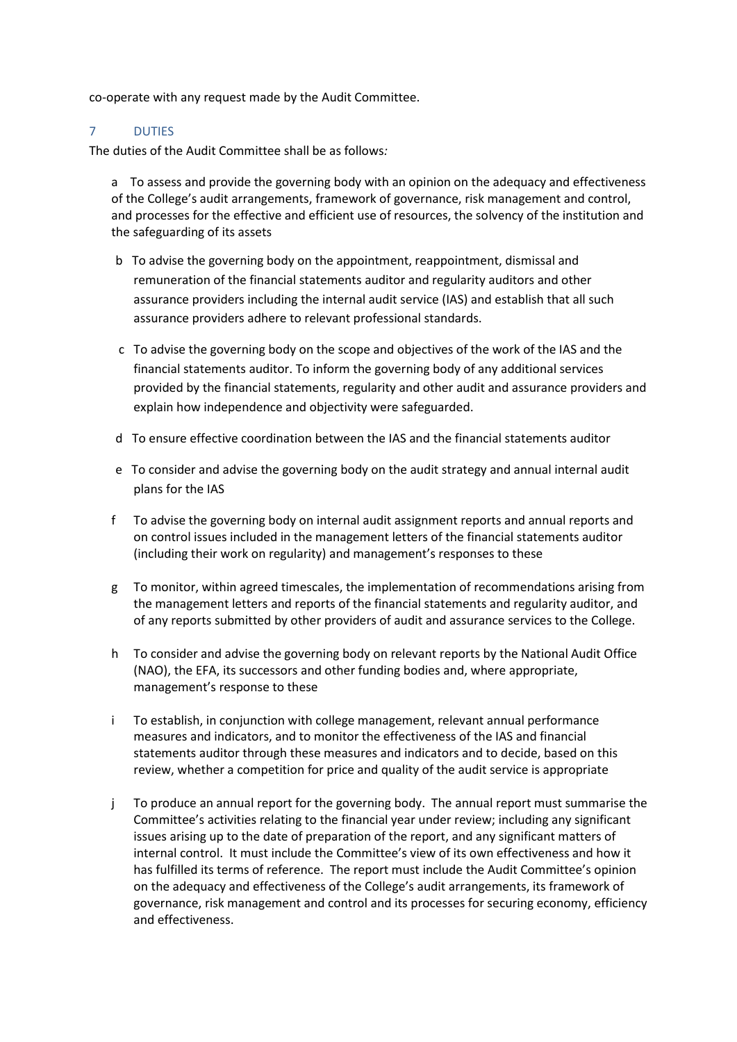co-operate with any request made by the Audit Committee.

### 7 DUTIES

The duties of the Audit Committee shall be as follows*:*

a To assess and provide the governing body with an opinion on the adequacy and effectiveness of the College's audit arrangements, framework of governance, risk management and control, and processes for the effective and efficient use of resources, the solvency of the institution and the safeguarding of its assets

- b To advise the governing body on the appointment, reappointment, dismissal and remuneration of the financial statements auditor and regularity auditors and other assurance providers including the internal audit service (IAS) and establish that all such assurance providers adhere to relevant professional standards.
- c To advise the governing body on the scope and objectives of the work of the IAS and the financial statements auditor. To inform the governing body of any additional services provided by the financial statements, regularity and other audit and assurance providers and explain how independence and objectivity were safeguarded.
- d To ensure effective coordination between the IAS and the financial statements auditor
- e To consider and advise the governing body on the audit strategy and annual internal audit plans for the IAS
- f To advise the governing body on internal audit assignment reports and annual reports and on control issues included in the management letters of the financial statements auditor (including their work on regularity) and management's responses to these
- g To monitor, within agreed timescales, the implementation of recommendations arising from the management letters and reports of the financial statements and regularity auditor, and of any reports submitted by other providers of audit and assurance services to the College.
- h To consider and advise the governing body on relevant reports by the National Audit Office (NAO), the EFA, its successors and other funding bodies and, where appropriate, management's response to these
- i To establish, in conjunction with college management, relevant annual performance measures and indicators, and to monitor the effectiveness of the IAS and financial statements auditor through these measures and indicators and to decide, based on this review, whether a competition for price and quality of the audit service is appropriate
- j To produce an annual report for the governing body. The annual report must summarise the Committee's activities relating to the financial year under review; including any significant issues arising up to the date of preparation of the report, and any significant matters of internal control. It must include the Committee's view of its own effectiveness and how it has fulfilled its terms of reference. The report must include the Audit Committee's opinion on the adequacy and effectiveness of the College's audit arrangements, its framework of governance, risk management and control and its processes for securing economy, efficiency and effectiveness.